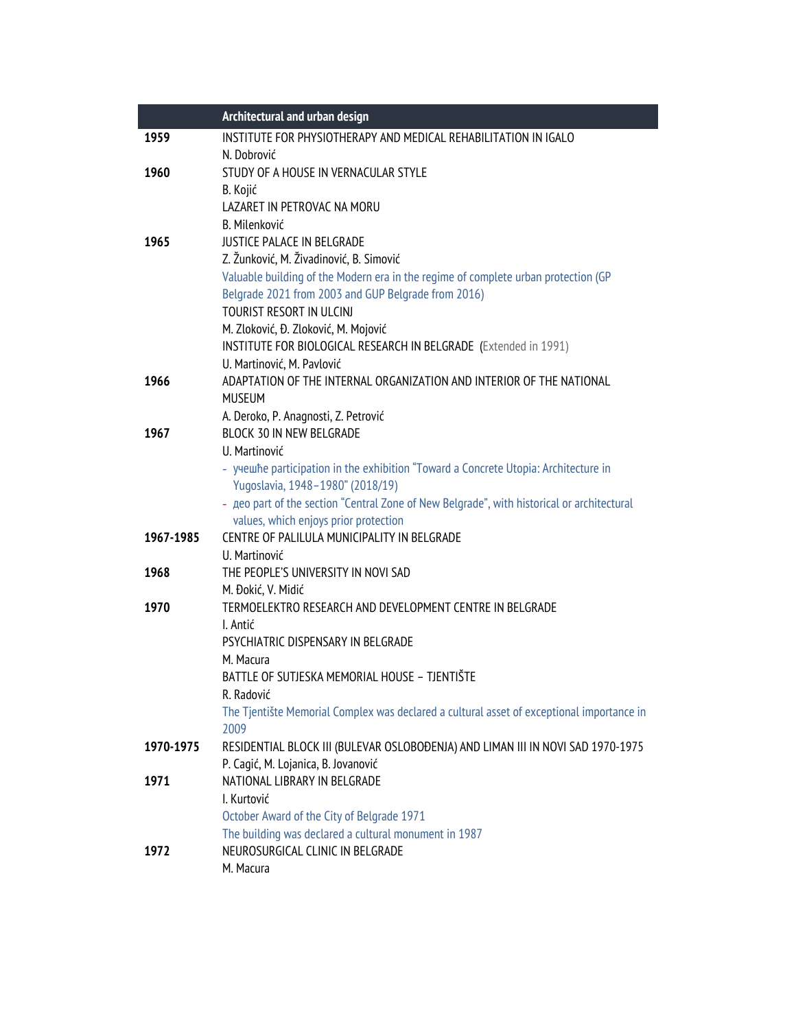|           | Architectural and urban design                                                                    |
|-----------|---------------------------------------------------------------------------------------------------|
| 1959      | INSTITUTE FOR PHYSIOTHERAPY AND MEDICAL REHABILITATION IN IGALO                                   |
|           | N. Dobrović                                                                                       |
| 1960      | STUDY OF A HOUSE IN VERNACULAR STYLE                                                              |
|           | B. Kojić                                                                                          |
|           | LAZARET IN PETROVAC NA MORU                                                                       |
|           | <b>B.</b> Milenković                                                                              |
| 1965      | JUSTICE PALACE IN BELGRADE                                                                        |
|           | Z. Žunković, M. Živadinović, B. Simović                                                           |
|           | Valuable building of the Modern era in the regime of complete urban protection (GP                |
|           | Belgrade 2021 from 2003 and GUP Belgrade from 2016)                                               |
|           | TOURIST RESORT IN ULCINI                                                                          |
|           | M. Zloković, Đ. Zloković, M. Mojović                                                              |
|           | INSTITUTE FOR BIOLOGICAL RESEARCH IN BELGRADE (Extended in 1991)                                  |
|           | U. Martinović, M. Pavlović                                                                        |
| 1966      | ADAPTATION OF THE INTERNAL ORGANIZATION AND INTERIOR OF THE NATIONAL                              |
|           | <b>MUSEUM</b>                                                                                     |
|           | A. Deroko, P. Anagnosti, Z. Petrović                                                              |
| 1967      | BLOCK 30 IN NEW BELGRADE                                                                          |
|           | U. Martinović                                                                                     |
|           | - yyewhe participation in the exhibition "Toward a Concrete Utopia: Architecture in               |
|           | Yugoslavia, 1948-1980" (2018/19)                                                                  |
|           | - geo part of the section "Central Zone of New Belgrade", with historical or architectural        |
|           | values, which enjoys prior protection                                                             |
| 1967-1985 | CENTRE OF PALILULA MUNICIPALITY IN BELGRADE                                                       |
|           | U. Martinović                                                                                     |
| 1968      | THE PEOPLE'S UNIVERSITY IN NOVI SAD                                                               |
|           | M. Đokić, V. Midić                                                                                |
| 1970      | TERMOELEKTRO RESEARCH AND DEVELOPMENT CENTRE IN BELGRADE                                          |
|           | I. Antić                                                                                          |
|           | PSYCHIATRIC DISPENSARY IN BELGRADE                                                                |
|           | M. Macura                                                                                         |
|           | BATTLE OF SUTJESKA MEMORIAL HOUSE - TJENTIŠTE                                                     |
|           | R. Radović                                                                                        |
|           | The Tjentište Memorial Complex was declared a cultural asset of exceptional importance in<br>2009 |
| 1970-1975 | RESIDENTIAL BLOCK III (BULEVAR OSLOBOĐENJA) AND LIMAN III IN NOVI SAD 1970-1975                   |
|           | P. Cagić, M. Lojanica, B. Jovanović                                                               |
| 1971      | NATIONAL LIBRARY IN BELGRADE                                                                      |
|           | I. Kurtović                                                                                       |
|           | October Award of the City of Belgrade 1971                                                        |
|           | The building was declared a cultural monument in 1987                                             |
| 1972      | NEUROSURGICAL CLINIC IN BELGRADE                                                                  |
|           | M. Macura                                                                                         |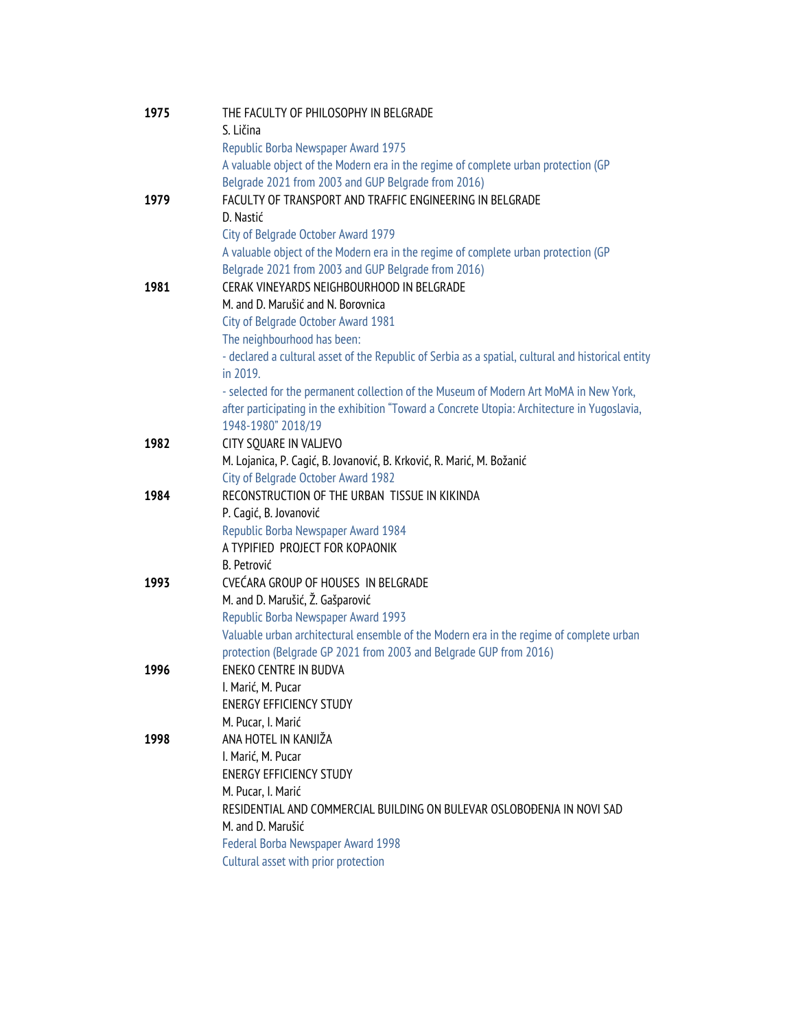| 1975 | THE FACULTY OF PHILOSOPHY IN BELGRADE                                                              |
|------|----------------------------------------------------------------------------------------------------|
|      | S. Ličina                                                                                          |
|      | Republic Borba Newspaper Award 1975                                                                |
|      | A valuable object of the Modern era in the regime of complete urban protection (GP                 |
|      | Belgrade 2021 from 2003 and GUP Belgrade from 2016)                                                |
| 1979 | FACULTY OF TRANSPORT AND TRAFFIC ENGINEERING IN BELGRADE                                           |
|      | D. Nastić                                                                                          |
|      | City of Belgrade October Award 1979                                                                |
|      | A valuable object of the Modern era in the regime of complete urban protection (GP                 |
|      | Belgrade 2021 from 2003 and GUP Belgrade from 2016)                                                |
| 1981 | CERAK VINEYARDS NEIGHBOURHOOD IN BELGRADE                                                          |
|      | M. and D. Marušić and N. Borovnica                                                                 |
|      | City of Belgrade October Award 1981                                                                |
|      | The neighbourhood has been:                                                                        |
|      | - declared a cultural asset of the Republic of Serbia as a spatial, cultural and historical entity |
|      | in 2019.                                                                                           |
|      | - selected for the permanent collection of the Museum of Modern Art MoMA in New York,              |
|      | after participating in the exhibition "Toward a Concrete Utopia: Architecture in Yugoslavia,       |
|      | 1948-1980" 2018/19                                                                                 |
| 1982 | CITY SQUARE IN VALJEVO                                                                             |
|      | M. Lojanica, P. Cagić, B. Jovanović, B. Krković, R. Marić, M. Božanić                              |
|      | City of Belgrade October Award 1982                                                                |
| 1984 | RECONSTRUCTION OF THE URBAN TISSUE IN KIKINDA                                                      |
|      | P. Cagić, B. Jovanović                                                                             |
|      | Republic Borba Newspaper Award 1984                                                                |
|      | A TYPIFIED PROJECT FOR KOPAONIK                                                                    |
|      | <b>B.</b> Petrović                                                                                 |
| 1993 | CVEĆARA GROUP OF HOUSES IN BELGRADE                                                                |
|      | M. and D. Marušić, Ž. Gašparović                                                                   |
|      | Republic Borba Newspaper Award 1993                                                                |
|      | Valuable urban architectural ensemble of the Modern era in the regime of complete urban            |
|      | protection (Belgrade GP 2021 from 2003 and Belgrade GUP from 2016)                                 |
| 1996 | ENEKO CENTRE IN BUDVA                                                                              |
|      | I. Marić, M. Pucar                                                                                 |
|      | <b>ENERGY EFFICIENCY STUDY</b>                                                                     |
|      | M. Pucar, I. Marić                                                                                 |
| 1998 | ANA HOTEL IN KANJIŽA                                                                               |
|      | I. Marić, M. Pucar                                                                                 |
|      | <b>ENERGY EFFICIENCY STUDY</b>                                                                     |
|      | M. Pucar, I. Marić                                                                                 |
|      | RESIDENTIAL AND COMMERCIAL BUILDING ON BULEVAR OSLOBOĐENJA IN NOVI SAD                             |
|      | M. and D. Marušić                                                                                  |
|      | Federal Borba Newspaper Award 1998                                                                 |
|      | Cultural asset with prior protection                                                               |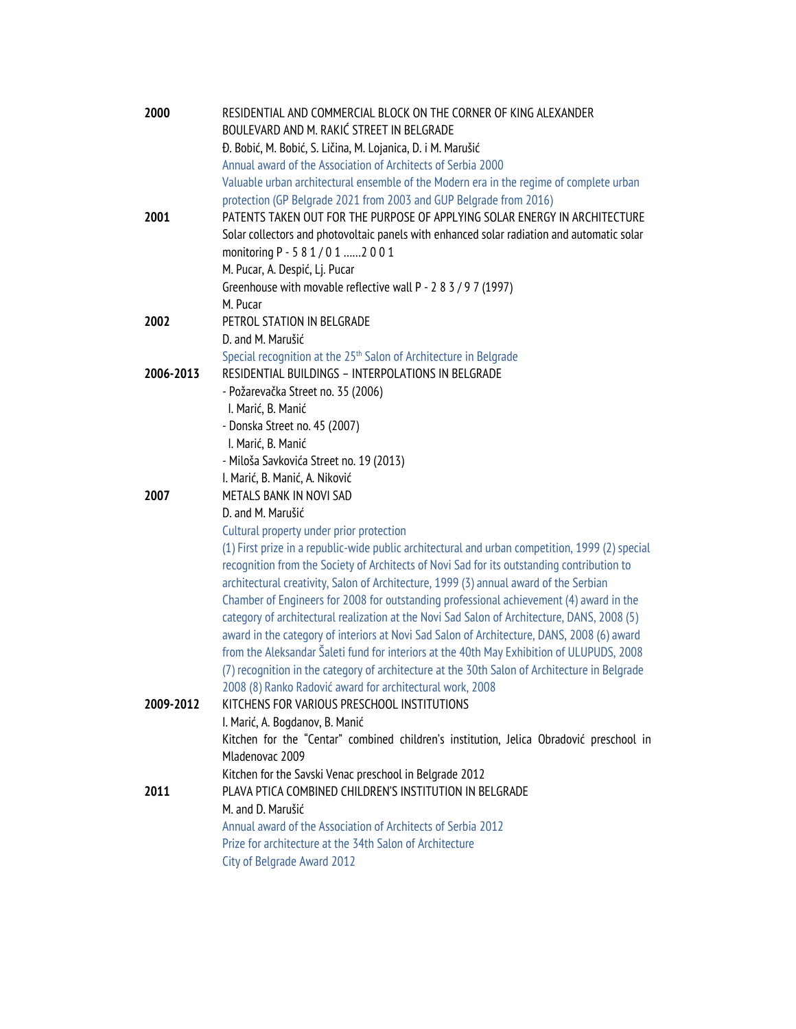| 2000      | RESIDENTIAL AND COMMERCIAL BLOCK ON THE CORNER OF KING ALEXANDER                                |
|-----------|-------------------------------------------------------------------------------------------------|
|           | BOULEVARD AND M. RAKIĆ STREET IN BELGRADE                                                       |
|           | Đ. Bobić, M. Bobić, S. Ličina, M. Lojanica, D. i M. Marušić                                     |
|           | Annual award of the Association of Architects of Serbia 2000                                    |
|           | Valuable urban architectural ensemble of the Modern era in the regime of complete urban         |
|           | protection (GP Belgrade 2021 from 2003 and GUP Belgrade from 2016)                              |
| 2001      | PATENTS TAKEN OUT FOR THE PURPOSE OF APPLYING SOLAR ENERGY IN ARCHITECTURE                      |
|           | Solar collectors and photovoltaic panels with enhanced solar radiation and automatic solar      |
|           | monitoring P - 5 8 1 / 0 1 2 0 0 1                                                              |
|           | M. Pucar, A. Despić, Lj. Pucar                                                                  |
|           | Greenhouse with movable reflective wall P - 2 8 3 / 9 7 (1997)                                  |
| 2002      | M. Pucar<br>PETROL STATION IN BELGRADE                                                          |
|           | D. and M. Marušić                                                                               |
|           | Special recognition at the 25 <sup>th</sup> Salon of Architecture in Belgrade                   |
| 2006-2013 | RESIDENTIAL BUILDINGS - INTERPOLATIONS IN BELGRADE                                              |
|           | - Požarevačka Street no. 35 (2006)                                                              |
|           | I. Marić, B. Manić                                                                              |
|           | - Donska Street no. 45 (2007)                                                                   |
|           | I. Marić, B. Manić                                                                              |
|           | - Miloša Savkovića Street no. 19 (2013)                                                         |
|           | I. Marić, B. Manić, A. Niković                                                                  |
| 2007      | METALS BANK IN NOVI SAD                                                                         |
|           | D. and M. Marušić                                                                               |
|           | Cultural property under prior protection                                                        |
|           | (1) First prize in a republic-wide public architectural and urban competition, 1999 (2) special |
|           | recognition from the Society of Architects of Novi Sad for its outstanding contribution to      |
|           | architectural creativity, Salon of Architecture, 1999 (3) annual award of the Serbian           |
|           | Chamber of Engineers for 2008 for outstanding professional achievement (4) award in the         |
|           | category of architectural realization at the Novi Sad Salon of Architecture, DANS, 2008 (5)     |
|           | award in the category of interiors at Novi Sad Salon of Architecture, DANS, 2008 (6) award      |
|           | from the Aleksandar Šaleti fund for interiors at the 40th May Exhibition of ULUPUDS, 2008       |
|           | (7) recognition in the category of architecture at the 30th Salon of Architecture in Belgrade   |
|           | 2008 (8) Ranko Radović award for architectural work, 2008                                       |
| 2009-2012 | KITCHENS FOR VARIOUS PRESCHOOL INSTITUTIONS                                                     |
|           | I. Marić, A. Bogdanov, B. Manić                                                                 |
|           | Kitchen for the "Centar" combined children's institution, Jelica Obradović preschool in         |
|           | Mladenovac 2009                                                                                 |
|           | Kitchen for the Savski Venac preschool in Belgrade 2012                                         |
| 2011      | PLAVA PTICA COMBINED CHILDREN'S INSTITUTION IN BELGRADE                                         |
|           | M. and D. Marušić                                                                               |
|           | Annual award of the Association of Architects of Serbia 2012                                    |
|           | Prize for architecture at the 34th Salon of Architecture                                        |
|           | City of Belgrade Award 2012                                                                     |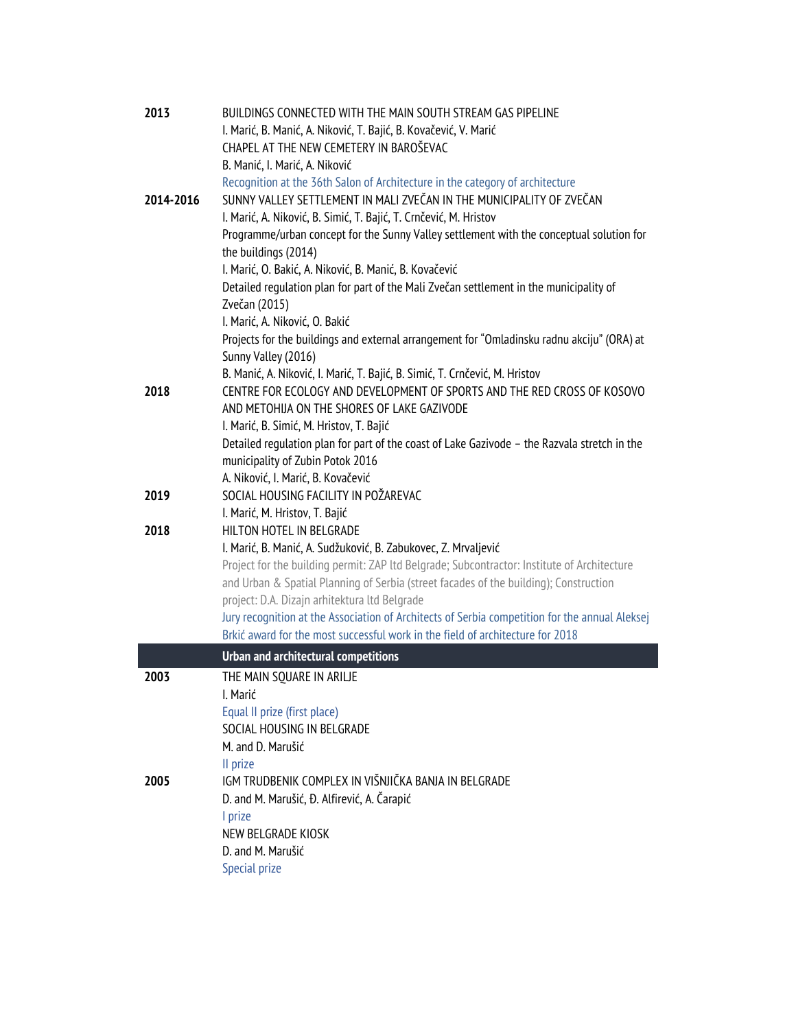| 2013      | BUILDINGS CONNECTED WITH THE MAIN SOUTH STREAM GAS PIPELINE                                    |
|-----------|------------------------------------------------------------------------------------------------|
|           | I. Marić, B. Manić, A. Niković, T. Bajić, B. Kovačević, V. Marić                               |
|           | CHAPEL AT THE NEW CEMETERY IN BAROŠEVAC                                                        |
|           | B. Manić, I. Marić, A. Niković                                                                 |
|           | Recognition at the 36th Salon of Architecture in the category of architecture                  |
| 2014-2016 | SUNNY VALLEY SETTLEMENT IN MALI ZVEČAN IN THE MUNICIPALITY OF ZVEČAN                           |
|           | I. Marić, A. Niković, B. Simić, T. Bajić, T. Crnčević, M. Hristov                              |
|           | Programme/urban concept for the Sunny Valley settlement with the conceptual solution for       |
|           | the buildings (2014)                                                                           |
|           | I. Marić, O. Bakić, A. Niković, B. Manić, B. Kovačević                                         |
|           | Detailed regulation plan for part of the Mali Zvečan settlement in the municipality of         |
|           | Zvečan (2015)                                                                                  |
|           | I. Marić, A. Niković, O. Bakić                                                                 |
|           | Projects for the buildings and external arrangement for "Omladinsku radnu akciju" (ORA) at     |
|           | Sunny Valley (2016)                                                                            |
|           | B. Manić, A. Niković, I. Marić, T. Bajić, B. Simić, T. Crnčević, M. Hristov                    |
| 2018      | CENTRE FOR ECOLOGY AND DEVELOPMENT OF SPORTS AND THE RED CROSS OF KOSOVO                       |
|           | AND METOHIJA ON THE SHORES OF LAKE GAZIVODE                                                    |
|           | I. Marić, B. Simić, M. Hristov, T. Bajić                                                       |
|           | Detailed regulation plan for part of the coast of Lake Gazivode - the Razvala stretch in the   |
|           | municipality of Zubin Potok 2016                                                               |
|           | A. Niković, I. Marić, B. Kovačević                                                             |
| 2019      | SOCIAL HOUSING FACILITY IN POŽAREVAC                                                           |
|           | I. Marić, M. Hristov, T. Bajić                                                                 |
| 2018      | HILTON HOTEL IN BELGRADE                                                                       |
|           | I. Marić, B. Manić, A. Sudžuković, B. Zabukovec, Z. Mrvaljević                                 |
|           | Project for the building permit: ZAP ltd Belgrade; Subcontractor: Institute of Architecture    |
|           | and Urban & Spatial Planning of Serbia (street facades of the building); Construction          |
|           | project: D.A. Dizajn arhitektura ltd Belgrade                                                  |
|           | Jury recognition at the Association of Architects of Serbia competition for the annual Aleksej |
|           | Brkić award for the most successful work in the field of architecture for 2018                 |
|           | <b>Urban and architectural competitions</b>                                                    |
| 2003      | THE MAIN SQUARE IN ARILIE                                                                      |
|           | I. Marić                                                                                       |
|           | Equal II prize (first place)                                                                   |
|           | SOCIAL HOUSING IN BELGRADE                                                                     |
|           | M. and D. Marušić                                                                              |
|           | II prize                                                                                       |
| 2005      | IGM TRUDBENIK COMPLEX IN VIŠNJIČKA BANJA IN BELGRADE                                           |
|           | D. and M. Marušić, Đ. Alfirević, A. Čarapić                                                    |
|           | I prize                                                                                        |
|           | NEW BELGRADE KIOSK                                                                             |
|           | D. and M. Marušić                                                                              |
|           | Special prize                                                                                  |
|           |                                                                                                |